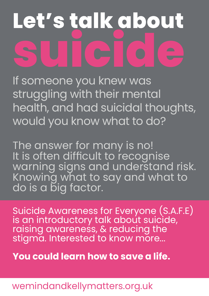# **Let's talk about SUICICE**

If someone you knew was struggling with their mental health, and had suicidal thoughts, would you know what to do?

The answer for many is no! It is often difficult to recognise warning signs and understand risk. Knowing what to say and what to do is a big factor.

Suicide Awareness for Everyone (S.A.F.E) is an introductory talk about suicide, raising awareness, & reducing the stigma. Interested to know more...

**You could learn how to save a life.**

## wemindandkellymatters.org.uk